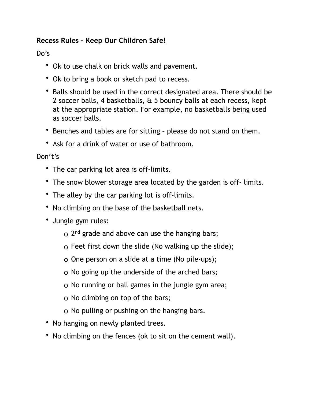## **Recess Rules - Keep Our Children Safe!**

## Do's

- Ok to use chalk on brick walls and pavement.
- Ok to bring a book or sketch pad to recess.
- Balls should be used in the correct designated area. There should be 2 soccer balls, 4 basketballs, & 5 bouncy balls at each recess, kept at the appropriate station. For example, no basketballs being used as soccer balls.
- Benches and tables are for sitting please do not stand on them.
- Ask for a drink of water or use of bathroom.

Don't's

- The car parking lot area is off-limits.
- The snow blower storage area located by the garden is off-limits.
- The alley by the car parking lot is off-limits.
- No climbing on the base of the basketball nets.
- Jungle gym rules:
	- o 2<sup>nd</sup> grade and above can use the hanging bars;
	- o Feet first down the slide (No walking up the slide);
	- o One person on a slide at a time (No pile-ups);
	- o No going up the underside of the arched bars;
	- o No running or ball games in the jungle gym area;
	- o No climbing on top of the bars;
	- o No pulling or pushing on the hanging bars.
- No hanging on newly planted trees.
- No climbing on the fences (ok to sit on the cement wall).